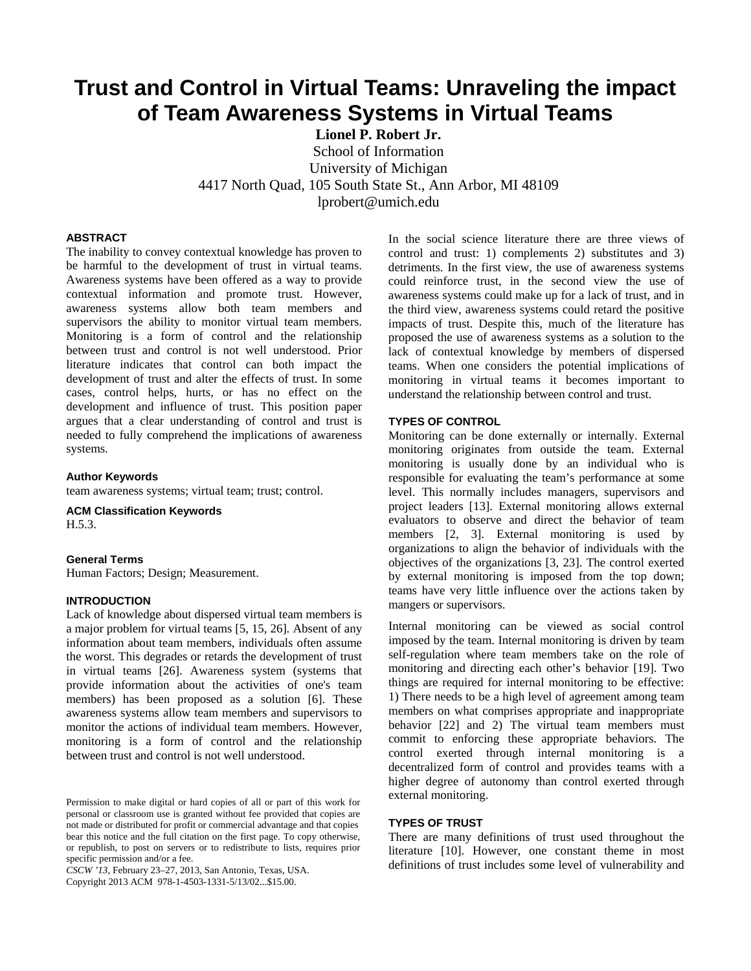# **Trust and Control in Virtual Teams: Unraveling the impact of Team Awareness Systems in Virtual Teams**

**Lionel P. Robert Jr.**  School of Information

University of Michigan

4417 North Quad, 105 South State St., Ann Arbor, MI 48109

lprobert@umich.edu

# **ABSTRACT**

The inability to convey contextual knowledge has proven to be harmful to the development of trust in virtual teams. Awareness systems have been offered as a way to provide contextual information and promote trust. However, awareness systems allow both team members and supervisors the ability to monitor virtual team members. Monitoring is a form of control and the relationship between trust and control is not well understood. Prior literature indicates that control can both impact the development of trust and alter the effects of trust. In some cases, control helps, hurts, or has no effect on the development and influence of trust. This position paper argues that a clear understanding of control and trust is needed to fully comprehend the implications of awareness systems.

**Author Keywords** 

team awareness systems; virtual team; trust; control.

**ACM Classification Keywords**  H.5.3.

#### **General Terms**

Human Factors; Design; Measurement.

# **INTRODUCTION**

Lack of knowledge about dispersed virtual team members is a major problem for virtual teams [5, 15, 26]. Absent of any information about team members, individuals often assume the worst. This degrades or retards the development of trust in virtual teams [26]. Awareness system (systems that provide information about the activities of one's team members) has been proposed as a solution [6]. These awareness systems allow team members and supervisors to monitor the actions of individual team members. However, monitoring is a form of control and the relationship between trust and control is not well understood.

*CSCW '13,* February 23–27, 2013, San Antonio, Texas, USA. Copyright 2013 ACM 978-1-4503-1331-5/13/02...\$15.00.

In the social science literature there are three views of control and trust: 1) complements 2) substitutes and 3) detriments. In the first view, the use of awareness systems could reinforce trust, in the second view the use of awareness systems could make up for a lack of trust, and in the third view, awareness systems could retard the positive impacts of trust. Despite this, much of the literature has proposed the use of awareness systems as a solution to the lack of contextual knowledge by members of dispersed teams. When one considers the potential implications of monitoring in virtual teams it becomes important to understand the relationship between control and trust.

## **TYPES OF CONTROL**

Monitoring can be done externally or internally. External monitoring originates from outside the team. External monitoring is usually done by an individual who is responsible for evaluating the team's performance at some level. This normally includes managers, supervisors and project leaders [13]. External monitoring allows external evaluators to observe and direct the behavior of team members [2, 3]. External monitoring is used by organizations to align the behavior of individuals with the objectives of the organizations [3, 23]. The control exerted by external monitoring is imposed from the top down; teams have very little influence over the actions taken by mangers or supervisors.

Internal monitoring can be viewed as social control imposed by the team. Internal monitoring is driven by team self-regulation where team members take on the role of monitoring and directing each other's behavior [19]. Two things are required for internal monitoring to be effective: 1) There needs to be a high level of agreement among team members on what comprises appropriate and inappropriate behavior [22] and 2) The virtual team members must commit to enforcing these appropriate behaviors. The control exerted through internal monitoring is a decentralized form of control and provides teams with a higher degree of autonomy than control exerted through external monitoring.

## **TYPES OF TRUST**

There are many definitions of trust used throughout the literature [10]. However, one constant theme in most definitions of trust includes some level of vulnerability and

Permission to make digital or hard copies of all or part of this work for personal or classroom use is granted without fee provided that copies are not made or distributed for profit or commercial advantage and that copies bear this notice and the full citation on the first page. To copy otherwise, or republish, to post on servers or to redistribute to lists, requires prior specific permission and/or a fee.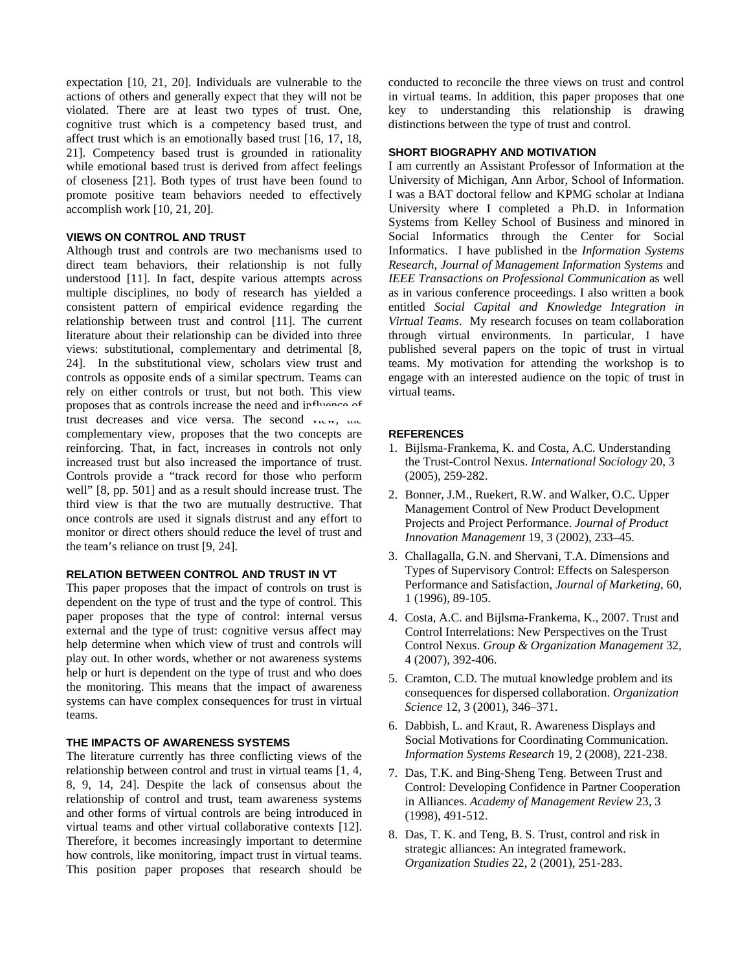expectation [10, 21, 20]. Individuals are vulnerable to the actions of others and generally expect that they will not be violated. There are at least two types of trust. One, cognitive trust which is a competency based trust, and affect trust which is an emotionally based trust [16, 17, 18, 21]. Competency based trust is grounded in rationality while emotional based trust is derived from affect feelings of closeness [21]. Both types of trust have been found to promote positive team behaviors needed to effectively accomplish work [10, 21, 20].

# **VIEWS ON CONTROL AND TRUST**

Although trust and controls are two mechanisms used to direct team behaviors, their relationship is not fully understood [11]. In fact, despite various attempts across multiple disciplines, no body of research has yielded a consistent pattern of empirical evidence regarding the relationship between trust and control [11]. The current literature about their relationship can be divided into three views: substitutional, complementary and detrimental [8, 24]. In the substitutional view, scholars view trust and controls as opposite ends of a similar spectrum. Teams can rely on either controls or trust, but not both. This view proposes that as controls increase the need and influence of trust decreases and vice versa. The second  $v_{1}v_{\text{w}}$ ,  $u_{1}v_{\text{w}}$ complementary view, proposes that the two concepts are reinforcing. That, in fact, increases in controls not only increased trust but also increased the importance of trust. Controls provide a "track record for those who perform well" [8, pp. 501] and as a result should increase trust. The third view is that the two are mutually destructive. That once controls are used it signals distrust and any effort to monitor or direct others should reduce the level of trust and the team's reliance on trust [9, 24].

# **RELATION BETWEEN CONTROL AND TRUST IN VT**

This paper proposes that the impact of controls on trust is dependent on the type of trust and the type of control. This paper proposes that the type of control: internal versus external and the type of trust: cognitive versus affect may help determine when which view of trust and controls will play out. In other words, whether or not awareness systems help or hurt is dependent on the type of trust and who does the monitoring. This means that the impact of awareness systems can have complex consequences for trust in virtual teams.

# **THE IMPACTS OF AWARENESS SYSTEMS**

The literature currently has three conflicting views of the relationship between control and trust in virtual teams [1, 4, 8, 9, 14, 24]. Despite the lack of consensus about the relationship of control and trust, team awareness systems and other forms of virtual controls are being introduced in virtual teams and other virtual collaborative contexts [12]. Therefore, it becomes increasingly important to determine how controls, like monitoring, impact trust in virtual teams. This position paper proposes that research should be

conducted to reconcile the three views on trust and control in virtual teams. In addition, this paper proposes that one key to understanding this relationship is drawing distinctions between the type of trust and control.

### **SHORT BIOGRAPHY AND MOTIVATION**

I am currently an Assistant Professor of Information at the University of Michigan, Ann Arbor, School of Information. I was a BAT doctoral fellow and KPMG scholar at Indiana University where I completed a Ph.D. in Information Systems from Kelley School of Business and minored in Social Informatics through the Center for Social Informatics. I have published in the *Information Systems Research*, *Journal of Management Information Systems* and *IEEE Transactions on Professional Communication* as well as in various conference proceedings. I also written a book entitled *Social Capital and Knowledge Integration in Virtual Teams*. My research focuses on team collaboration through virtual environments. In particular, I have published several papers on the topic of trust in virtual teams. My motivation for attending the workshop is to engage with an interested audience on the topic of trust in virtual teams.

### **REFERENCES**

- 1. Bijlsma-Frankema, K. and Costa, A.C. Understanding the Trust-Control Nexus. *International Sociology* 20, 3 (2005), 259-282.
- 2. Bonner, J.M., Ruekert, R.W. and Walker, O.C. Upper Management Control of New Product Development Projects and Project Performance. *Journal of Product Innovation Management* 19, 3 (2002), 233–45.
- 3. Challagalla, G.N. and Shervani, T.A. Dimensions and Types of Supervisory Control: Effects on Salesperson Performance and Satisfaction, *Journal of Marketing*, 60, 1 (1996), 89-105.
- 4. Costa, A.C. and Bijlsma-Frankema, K., 2007. Trust and Control Interrelations: New Perspectives on the Trust Control Nexus. *Group & Organization Management* 32, 4 (2007), 392-406.
- 5. Cramton, C.D. The mutual knowledge problem and its consequences for dispersed collaboration. *Organization Science* 12, 3 (2001), 346–371.
- 6. Dabbish, L. and Kraut, R. Awareness Displays and Social Motivations for Coordinating Communication. *Information Systems Research* 19, 2 (2008), 221-238.
- 7. Das, T.K. and Bing-Sheng Teng. Between Trust and Control: Developing Confidence in Partner Cooperation in Alliances. *Academy of Management Review* 23, 3 (1998), 491-512.
- 8. Das, T. K. and Teng, B. S. Trust, control and risk in strategic alliances: An integrated framework. *Organization Studies* 22, 2 (2001), 251-283.